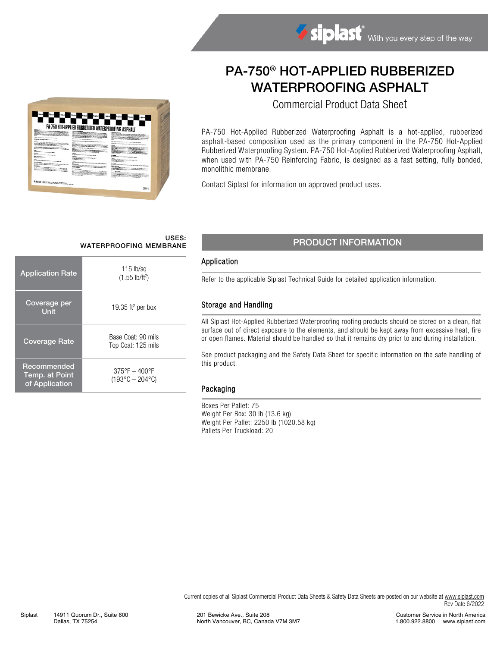# PA-750® HOT-APPLIED RUBBERIZED WATERPROOFING ASPHALT

Commercial Product Data Sheet

PA-750 Hot-Applied Rubberized Waterproofing Asphalt is a hot-applied, rubberized asphalt-based composition used as the primary component in the PA-750 Hot-Applied Rubberized Waterproofing System. PA-750 Hot-Applied Rubberized Waterproofing Asphalt, when used with PA-750 Reinforcing Fabric, is designed as a fast setting, fully bonded, monolithic membrane.

Contact Siplast for information on approved product uses.

# USES:

| <b>Application Rate</b>                         | $115$ lb/sq<br>$(1.55 \text{ lb/ft}^2)$                          |  |
|-------------------------------------------------|------------------------------------------------------------------|--|
| Coverage per<br><b>Unit</b>                     | 19.35 ft <sup>2</sup> per box                                    |  |
| <b>Coverage Rate</b>                            | Base Coat: 90 mils<br>Top Coat: 125 mils                         |  |
| Recommended<br>Temp. at Point<br>of Application | $375^{\circ}F - 400^{\circ}F$<br>$(193^{\circ}C - 204^{\circ}C)$ |  |

PA-750 HOT APPLIED RUBBERIZED WATERPROOFING ASPHALT

m

**STARRES** 

## USES:<br>WATERPROOFING MEMBRANE PRODUCT INFORMATION

#### Application

Refer to the applicable Siplast Technical Guide for detailed application information.

#### Storage and Handling

All Siplast Hot-Applied Rubberized Waterproofing roofing products should be stored on a clean, flat surface out of direct exposure to the elements, and should be kept away from excessive heat, fire or open flames. Material should be handled so that it remains dry prior to and during installation.

See product packaging and the Safety Data Sheet for specific information on the safe handling of this product.

#### Packaging

Boxes Per Pallet: 75 Weight Per Box: 30 lb (13.6 kg) Weight Per Pallet: 2250 lb (1020.58 kg) Pallets Per Truckload: 20

Current copies of all Siplast Commercial Product Data Sheets & Safety Data Sheets are posted on our website at [www.siplast.com](http://www.siplast.com/) Rev Date 6/2022